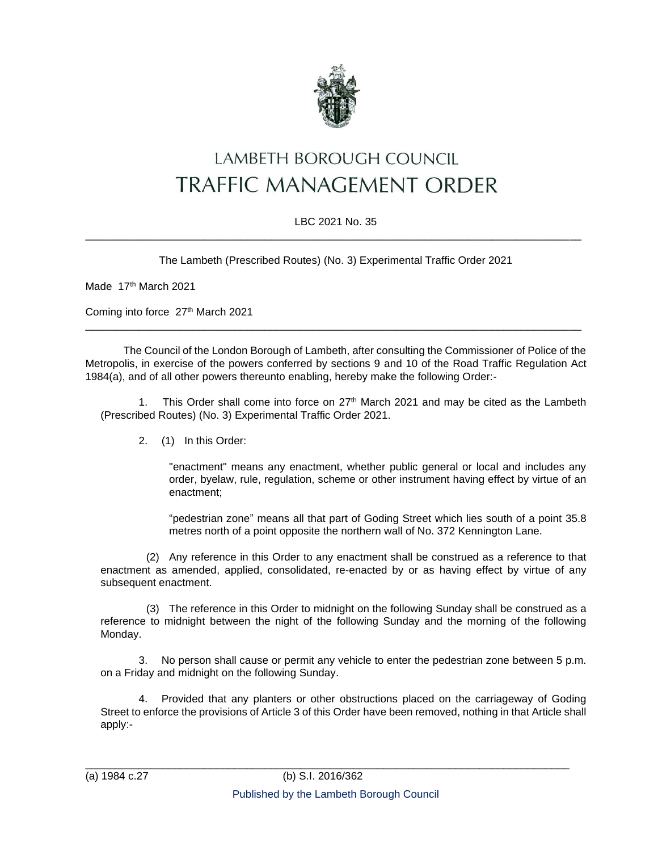

## LAMBETH BOROUGH COUNCIL **TRAFFIC MANAGEMENT ORDER**

## LBC 2021 No. 35 \_\_\_\_\_\_\_\_\_\_\_\_\_\_\_\_\_\_\_\_\_\_\_\_\_\_\_\_\_\_\_\_\_\_\_\_\_\_\_\_\_\_\_\_\_\_\_\_\_\_\_\_\_\_\_\_\_\_\_\_\_\_\_\_\_\_\_\_\_\_\_\_\_\_\_\_\_\_\_\_\_\_\_

The Lambeth (Prescribed Routes) (No. 3) Experimental Traffic Order 2021

Made 17th March 2021

Coming into force 27<sup>th</sup> March 2021

The Council of the London Borough of Lambeth, after consulting the Commissioner of Police of the Metropolis, in exercise of the powers conferred by sections 9 and 10 of the Road Traffic Regulation Act 1984(a), and of all other powers thereunto enabling, hereby make the following Order:-

\_\_\_\_\_\_\_\_\_\_\_\_\_\_\_\_\_\_\_\_\_\_\_\_\_\_\_\_\_\_\_\_\_\_\_\_\_\_\_\_\_\_\_\_\_\_\_\_\_\_\_\_\_\_\_\_\_\_\_\_\_\_\_\_\_\_\_\_\_\_\_\_\_\_\_\_\_\_\_\_\_\_\_

This Order shall come into force on  $27<sup>th</sup>$  March 2021 and may be cited as the Lambeth (Prescribed Routes) (No. 3) Experimental Traffic Order 2021.

2. (1) In this Order:

"enactment" means any enactment, whether public general or local and includes any order, byelaw, rule, regulation, scheme or other instrument having effect by virtue of an enactment;

"pedestrian zone" means all that part of Goding Street which lies south of a point 35.8 metres north of a point opposite the northern wall of No. 372 Kennington Lane.

(2) Any reference in this Order to any enactment shall be construed as a reference to that enactment as amended, applied, consolidated, re-enacted by or as having effect by virtue of any subsequent enactment.

(3) The reference in this Order to midnight on the following Sunday shall be construed as a reference to midnight between the night of the following Sunday and the morning of the following Monday.

No person shall cause or permit any vehicle to enter the pedestrian zone between 5 p.m. on a Friday and midnight on the following Sunday.

4. Provided that any planters or other obstructions placed on the carriageway of Goding Street to enforce the provisions of Article 3 of this Order have been removed, nothing in that Article shall apply:-

\_\_\_\_\_\_\_\_\_\_\_\_\_\_\_\_\_\_\_\_\_\_\_\_\_\_\_\_\_\_\_\_\_\_\_\_\_\_\_\_\_\_\_\_\_\_\_\_\_\_\_\_\_\_\_\_\_\_\_\_\_\_\_\_\_\_\_\_\_\_\_\_\_\_\_\_\_\_\_\_\_